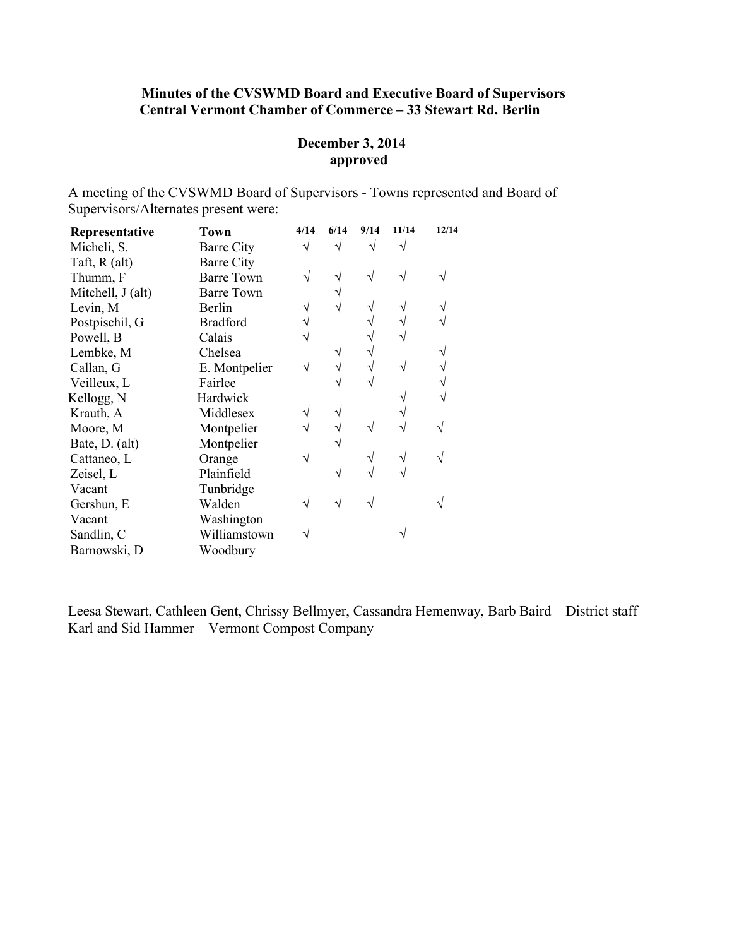## Minutes of the CVSWMD Board and Executive Board of Supervisors Central Vermont Chamber of Commerce – 33 Stewart Rd. Berlin

#### December 3, 2014 approved

A meeting of the CVSWMD Board of Supervisors - Towns represented and Board of Supervisors/Alternates present were:

| Representative    | <b>Town</b>       | 4/14 | 6/14 | 9/14 | 11/14 | 12/14 |
|-------------------|-------------------|------|------|------|-------|-------|
| Micheli, S.       | Barre City        |      |      |      |       |       |
| Taft, R (alt)     | Barre City        |      |      |      |       |       |
| Thumm, F          | <b>Barre Town</b> |      |      |      |       |       |
| Mitchell, J (alt) | <b>Barre Town</b> |      |      |      |       |       |
| Levin, M          | Berlin            |      |      |      |       |       |
| Postpischil, G    | <b>Bradford</b>   |      |      |      |       |       |
| Powell, B         | Calais            |      |      |      |       |       |
| Lembke, M         | Chelsea           |      |      |      |       |       |
| Callan, G         | E. Montpelier     |      |      |      |       |       |
| Veilleux, L       | Fairlee           |      |      |      |       |       |
| Kellogg, N        | Hardwick          |      |      |      |       |       |
| Krauth, A         | Middlesex         |      |      |      |       |       |
| Moore, M          | Montpelier        |      |      |      |       |       |
| Bate, D. (alt)    | Montpelier        |      |      |      |       |       |
| Cattaneo, L       | Orange            |      |      |      |       |       |
| Zeisel, L         | Plainfield        |      |      |      |       |       |
| Vacant            | Tunbridge         |      |      |      |       |       |
| Gershun, E        | Walden            |      |      |      |       |       |
| Vacant            | Washington        |      |      |      |       |       |
| Sandlin, C        | Williamstown      |      |      |      |       |       |
| Barnowski, D      | Woodbury          |      |      |      |       |       |

Leesa Stewart, Cathleen Gent, Chrissy Bellmyer, Cassandra Hemenway, Barb Baird – District staff Karl and Sid Hammer – Vermont Compost Company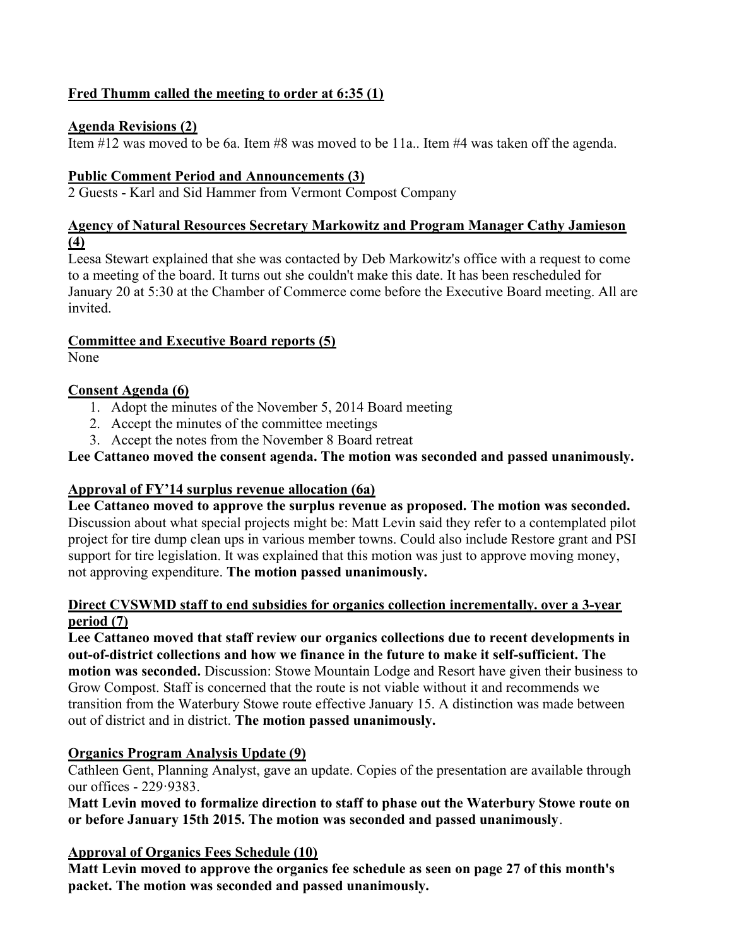# Fred Thumm called the meeting to order at 6:35 (1)

## Agenda Revisions (2)

Item #12 was moved to be 6a. Item #8 was moved to be 11a.. Item #4 was taken off the agenda.

## Public Comment Period and Announcements (3)

2 Guests - Karl and Sid Hammer from Vermont Compost Company

### Agency of Natural Resources Secretary Markowitz and Program Manager Cathy Jamieson (4)

Leesa Stewart explained that she was contacted by Deb Markowitz's office with a request to come to a meeting of the board. It turns out she couldn't make this date. It has been rescheduled for January 20 at 5:30 at the Chamber of Commerce come before the Executive Board meeting. All are invited.

# Committee and Executive Board reports (5)

None

# Consent Agenda (6)

- 1. Adopt the minutes of the November 5, 2014 Board meeting
- 2. Accept the minutes of the committee meetings
- 3. Accept the notes from the November 8 Board retreat

# Lee Cattaneo moved the consent agenda. The motion was seconded and passed unanimously.

## Approval of FY'14 surplus revenue allocation (6a)

Lee Cattaneo moved to approve the surplus revenue as proposed. The motion was seconded. Discussion about what special projects might be: Matt Levin said they refer to a contemplated pilot project for tire dump clean ups in various member towns. Could also include Restore grant and PSI support for tire legislation. It was explained that this motion was just to approve moving money, not approving expenditure. The motion passed unanimously.

#### Direct CVSWMD staff to end subsidies for organics collection incrementally. over a 3-year period (7)

Lee Cattaneo moved that staff review our organics collections due to recent developments in out-of-district collections and how we finance in the future to make it self-sufficient. The motion was seconded. Discussion: Stowe Mountain Lodge and Resort have given their business to Grow Compost. Staff is concerned that the route is not viable without it and recommends we transition from the Waterbury Stowe route effective January 15. A distinction was made between out of district and in district. The motion passed unanimously.

# Organics Program Analysis Update (9)

Cathleen Gent, Planning Analyst, gave an update. Copies of the presentation are available through our offices - 229·9383.

## Matt Levin moved to formalize direction to staff to phase out the Waterbury Stowe route on or before January 15th 2015. The motion was seconded and passed unanimously.

# Approval of Organics Fees Schedule (10)

Matt Levin moved to approve the organics fee schedule as seen on page 27 of this month's packet. The motion was seconded and passed unanimously.